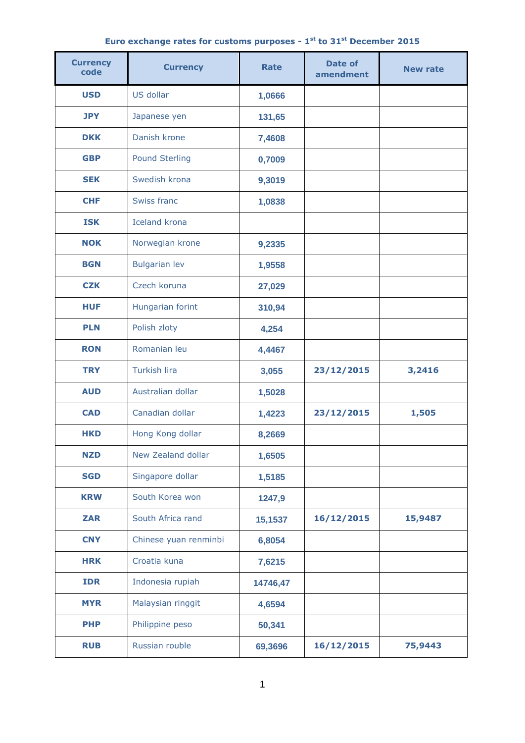## **Euro exchange rates for customs purposes - 1 st to 31 st December 2015**

| <b>Currency</b><br>code | <b>Currency</b>       | <b>Rate</b> | Date of<br>amendment | <b>New rate</b> |
|-------------------------|-----------------------|-------------|----------------------|-----------------|
| <b>USD</b>              | US dollar             | 1,0666      |                      |                 |
| <b>JPY</b>              | Japanese yen          | 131,65      |                      |                 |
| <b>DKK</b>              | Danish krone          | 7,4608      |                      |                 |
| <b>GBP</b>              | <b>Pound Sterling</b> | 0,7009      |                      |                 |
| <b>SEK</b>              | Swedish krona         | 9,3019      |                      |                 |
| <b>CHF</b>              | Swiss franc           | 1,0838      |                      |                 |
| <b>ISK</b>              | <b>Iceland krona</b>  |             |                      |                 |
| <b>NOK</b>              | Norwegian krone       | 9,2335      |                      |                 |
| <b>BGN</b>              | <b>Bulgarian lev</b>  | 1,9558      |                      |                 |
| <b>CZK</b>              | Czech koruna          | 27,029      |                      |                 |
| <b>HUF</b>              | Hungarian forint      | 310,94      |                      |                 |
| <b>PLN</b>              | Polish zloty          | 4,254       |                      |                 |
| <b>RON</b>              | Romanian leu          | 4,4467      |                      |                 |
| <b>TRY</b>              | <b>Turkish lira</b>   | 3,055       | 23/12/2015           | 3,2416          |
| <b>AUD</b>              | Australian dollar     | 1,5028      |                      |                 |
| <b>CAD</b>              | Canadian dollar       | 1,4223      | 23/12/2015           | 1,505           |
| <b>HKD</b>              | Hong Kong dollar      | 8,2669      |                      |                 |
| <b>NZD</b>              | New Zealand dollar    | 1,6505      |                      |                 |
| <b>SGD</b>              | Singapore dollar      | 1,5185      |                      |                 |
| <b>KRW</b>              | South Korea won       | 1247,9      |                      |                 |
| <b>ZAR</b>              | South Africa rand     | 15,1537     | 16/12/2015           | 15,9487         |
| <b>CNY</b>              | Chinese yuan renminbi | 6,8054      |                      |                 |
| <b>HRK</b>              | Croatia kuna          | 7,6215      |                      |                 |
| <b>IDR</b>              | Indonesia rupiah      | 14746,47    |                      |                 |
| <b>MYR</b>              | Malaysian ringgit     | 4,6594      |                      |                 |
| <b>PHP</b>              | Philippine peso       | 50,341      |                      |                 |
| <b>RUB</b>              | Russian rouble        | 69,3696     | 16/12/2015           | 75,9443         |